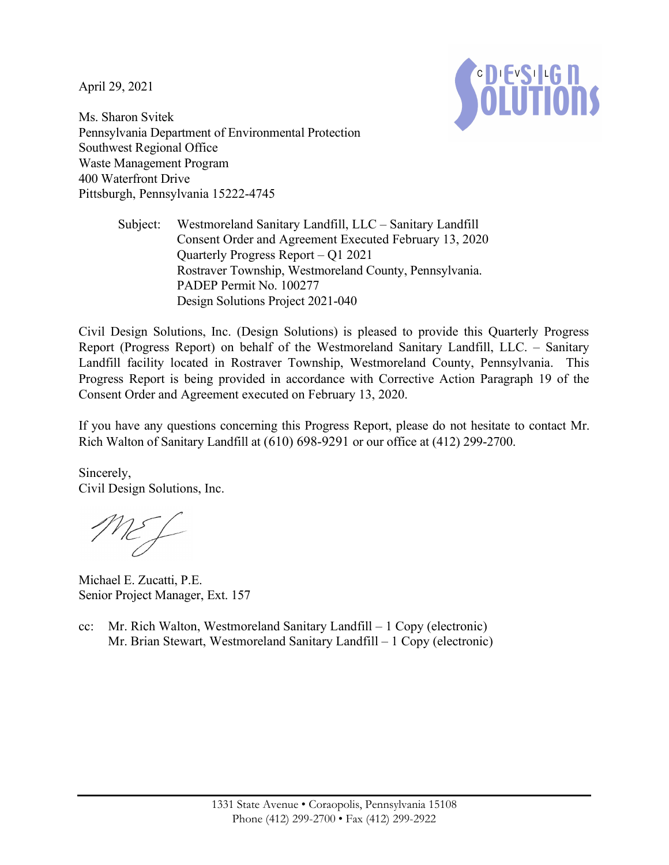April 29, 2021



Ms. Sharon Svitek Pennsylvania Department of Environmental Protection Southwest Regional Office Waste Management Program 400 Waterfront Drive Pittsburgh, Pennsylvania 15222-4745

> Subject: Westmoreland Sanitary Landfill, LLC – Sanitary Landfill Consent Order and Agreement Executed February 13, 2020 Quarterly Progress Report – Q1 2021 Rostraver Township, Westmoreland County, Pennsylvania. PADEP Permit No. 100277 Design Solutions Project 2021-040

Civil Design Solutions, Inc. (Design Solutions) is pleased to provide this Quarterly Progress Report (Progress Report) on behalf of the Westmoreland Sanitary Landfill, LLC. – Sanitary Landfill facility located in Rostraver Township, Westmoreland County, Pennsylvania. This Progress Report is being provided in accordance with Corrective Action Paragraph 19 of the Consent Order and Agreement executed on February 13, 2020.

If you have any questions concerning this Progress Report, please do not hesitate to contact Mr. Rich Walton of Sanitary Landfill at (610) 698-9291 or our office at (412) 299-2700.

Sincerely, Civil Design Solutions, Inc.

ME f

Michael E. Zucatti, P.E. Senior Project Manager, Ext. 157

cc: Mr. Rich Walton, Westmoreland Sanitary Landfill – 1 Copy (electronic) Mr. Brian Stewart, Westmoreland Sanitary Landfill – 1 Copy (electronic)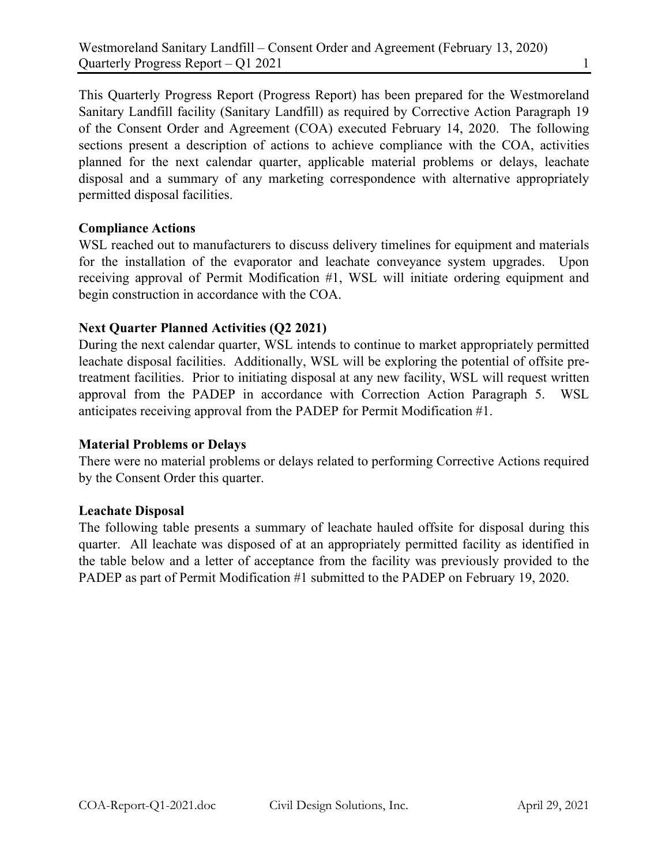This Quarterly Progress Report (Progress Report) has been prepared for the Westmoreland Sanitary Landfill facility (Sanitary Landfill) as required by Corrective Action Paragraph 19 of the Consent Order and Agreement (COA) executed February 14, 2020. The following sections present a description of actions to achieve compliance with the COA, activities planned for the next calendar quarter, applicable material problems or delays, leachate disposal and a summary of any marketing correspondence with alternative appropriately permitted disposal facilities.

# Compliance Actions

WSL reached out to manufacturers to discuss delivery timelines for equipment and materials for the installation of the evaporator and leachate conveyance system upgrades. Upon receiving approval of Permit Modification #1, WSL will initiate ordering equipment and begin construction in accordance with the COA.

# Next Quarter Planned Activities (Q2 2021)

During the next calendar quarter, WSL intends to continue to market appropriately permitted leachate disposal facilities. Additionally, WSL will be exploring the potential of offsite pretreatment facilities. Prior to initiating disposal at any new facility, WSL will request written approval from the PADEP in accordance with Correction Action Paragraph 5. WSL anticipates receiving approval from the PADEP for Permit Modification #1.

## Material Problems or Delays

There were no material problems or delays related to performing Corrective Actions required by the Consent Order this quarter.

## Leachate Disposal

The following table presents a summary of leachate hauled offsite for disposal during this quarter. All leachate was disposed of at an appropriately permitted facility as identified in the table below and a letter of acceptance from the facility was previously provided to the PADEP as part of Permit Modification #1 submitted to the PADEP on February 19, 2020.